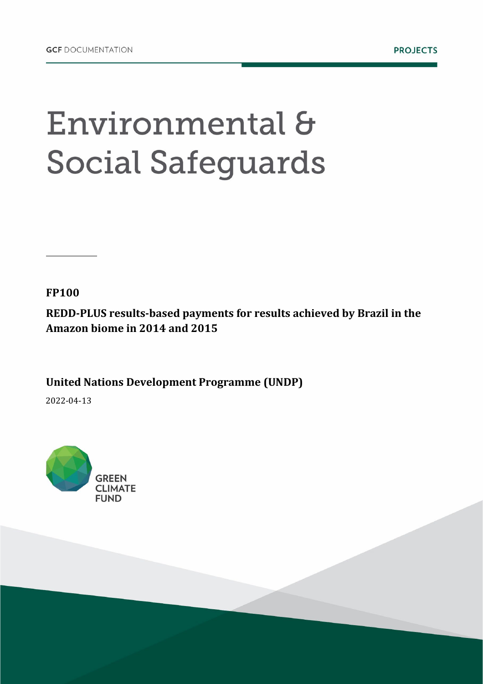## Environmental & **Social Safeguards**

**FP100**

**REDD-PLUS results-based payments for results achieved by Brazil in the Amazon biome in 2014 and 2015**

**United Nations Development Programme (UNDP)**

2022-04-13

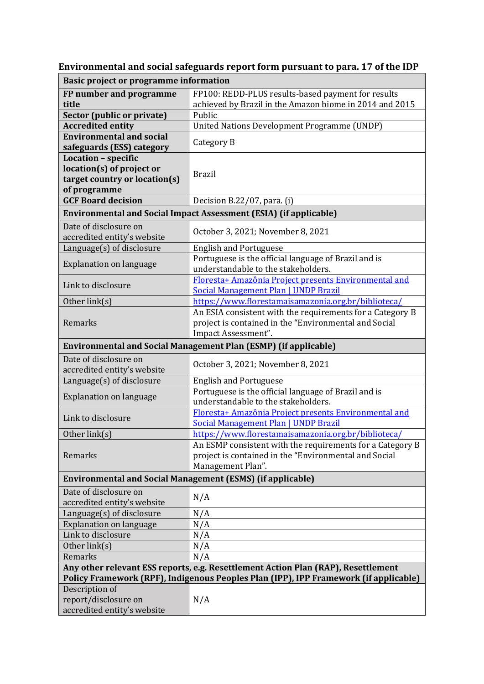| <b>Basic project or programme information</b>                                                                                                                             |                                                                                                                                           |  |  |
|---------------------------------------------------------------------------------------------------------------------------------------------------------------------------|-------------------------------------------------------------------------------------------------------------------------------------------|--|--|
| FP number and programme                                                                                                                                                   | FP100: REDD-PLUS results-based payment for results                                                                                        |  |  |
| title                                                                                                                                                                     | achieved by Brazil in the Amazon biome in 2014 and 2015                                                                                   |  |  |
| <b>Sector (public or private)</b>                                                                                                                                         | Public                                                                                                                                    |  |  |
| <b>Accredited entity</b>                                                                                                                                                  | <b>United Nations Development Programme (UNDP)</b>                                                                                        |  |  |
| <b>Environmental and social</b><br>safeguards (ESS) category                                                                                                              | Category B                                                                                                                                |  |  |
| Location - specific<br>location(s) of project or<br>target country or location(s)<br>of programme                                                                         | <b>Brazil</b>                                                                                                                             |  |  |
| <b>GCF Board decision</b>                                                                                                                                                 | Decision B.22/07, para. (i)                                                                                                               |  |  |
| <b>Environmental and Social Impact Assessment (ESIA) (if applicable)</b>                                                                                                  |                                                                                                                                           |  |  |
| Date of disclosure on<br>accredited entity's website                                                                                                                      | October 3, 2021; November 8, 2021                                                                                                         |  |  |
| Language(s) of disclosure                                                                                                                                                 | <b>English and Portuguese</b>                                                                                                             |  |  |
| <b>Explanation on language</b>                                                                                                                                            | Portuguese is the official language of Brazil and is<br>understandable to the stakeholders.                                               |  |  |
| Link to disclosure                                                                                                                                                        | Floresta+ Amazônia Project presents Environmental and<br><b>Social Management Plan   UNDP Brazil</b>                                      |  |  |
| Other link(s)                                                                                                                                                             | https://www.florestamaisamazonia.org.br/biblioteca/                                                                                       |  |  |
| Remarks                                                                                                                                                                   | An ESIA consistent with the requirements for a Category B<br>project is contained in the "Environmental and Social<br>Impact Assessment". |  |  |
|                                                                                                                                                                           | <b>Environmental and Social Management Plan (ESMP) (if applicable)</b>                                                                    |  |  |
| Date of disclosure on<br>accredited entity's website                                                                                                                      | October 3, 2021; November 8, 2021                                                                                                         |  |  |
| Language(s) of disclosure                                                                                                                                                 | <b>English and Portuguese</b>                                                                                                             |  |  |
| Explanation on language                                                                                                                                                   | Portuguese is the official language of Brazil and is<br>understandable to the stakeholders.                                               |  |  |
| Link to disclosure                                                                                                                                                        | Floresta+ Amazônia Project presents Environmental and<br>Social Management Plan   UNDP Brazil                                             |  |  |
| Other link(s)                                                                                                                                                             | https://www.florestamaisamazonia.org.br/biblioteca/                                                                                       |  |  |
| Remarks                                                                                                                                                                   | An ESMP consistent with the requirements for a Category B<br>project is contained in the "Environmental and Social<br>Management Plan".   |  |  |
| <b>Environmental and Social Management (ESMS) (if applicable)</b>                                                                                                         |                                                                                                                                           |  |  |
| Date of disclosure on<br>accredited entity's website                                                                                                                      | N/A                                                                                                                                       |  |  |
| Language(s) of disclosure                                                                                                                                                 | N/A                                                                                                                                       |  |  |
| <b>Explanation on language</b>                                                                                                                                            | N/A                                                                                                                                       |  |  |
| Link to disclosure                                                                                                                                                        | N/A                                                                                                                                       |  |  |
| Other link(s)                                                                                                                                                             | N/A                                                                                                                                       |  |  |
| Remarks                                                                                                                                                                   | N/A                                                                                                                                       |  |  |
| Any other relevant ESS reports, e.g. Resettlement Action Plan (RAP), Resettlement<br>Policy Framework (RPF), Indigenous Peoples Plan (IPP), IPP Framework (if applicable) |                                                                                                                                           |  |  |
| Description of                                                                                                                                                            |                                                                                                                                           |  |  |
| report/disclosure on<br>accredited entity's website                                                                                                                       | N/A                                                                                                                                       |  |  |

**Environmental and social safeguards report form pursuant to para. 17 of the IDP**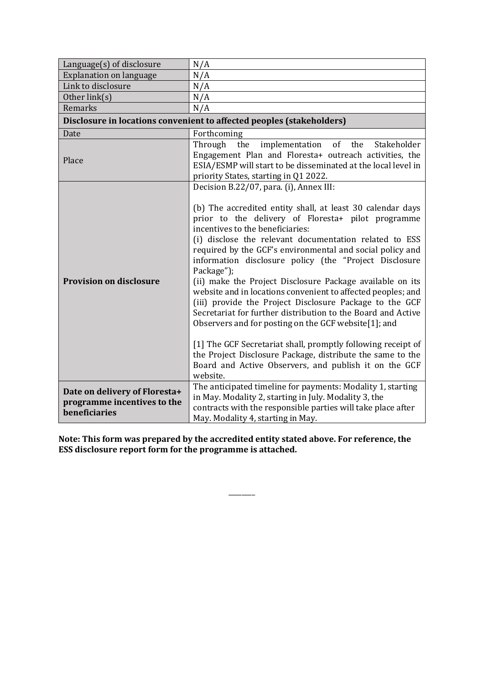| Language(s) of disclosure                                                     | N/A                                                                                                                                                                                                                                                                                                                                                                                                                                                                                                                                                                                                                                                                                                                                                                                                                                                                                                               |  |  |
|-------------------------------------------------------------------------------|-------------------------------------------------------------------------------------------------------------------------------------------------------------------------------------------------------------------------------------------------------------------------------------------------------------------------------------------------------------------------------------------------------------------------------------------------------------------------------------------------------------------------------------------------------------------------------------------------------------------------------------------------------------------------------------------------------------------------------------------------------------------------------------------------------------------------------------------------------------------------------------------------------------------|--|--|
| <b>Explanation on language</b>                                                | N/A                                                                                                                                                                                                                                                                                                                                                                                                                                                                                                                                                                                                                                                                                                                                                                                                                                                                                                               |  |  |
| Link to disclosure                                                            | N/A                                                                                                                                                                                                                                                                                                                                                                                                                                                                                                                                                                                                                                                                                                                                                                                                                                                                                                               |  |  |
| Other link(s)                                                                 | N/A                                                                                                                                                                                                                                                                                                                                                                                                                                                                                                                                                                                                                                                                                                                                                                                                                                                                                                               |  |  |
| Remarks                                                                       | N/A                                                                                                                                                                                                                                                                                                                                                                                                                                                                                                                                                                                                                                                                                                                                                                                                                                                                                                               |  |  |
| Disclosure in locations convenient to affected peoples (stakeholders)         |                                                                                                                                                                                                                                                                                                                                                                                                                                                                                                                                                                                                                                                                                                                                                                                                                                                                                                                   |  |  |
| Date                                                                          | Forthcoming                                                                                                                                                                                                                                                                                                                                                                                                                                                                                                                                                                                                                                                                                                                                                                                                                                                                                                       |  |  |
| Place                                                                         | Through<br>of<br>the<br>implementation<br>Stakeholder<br>the<br>Engagement Plan and Floresta+ outreach activities, the<br>ESIA/ESMP will start to be disseminated at the local level in<br>priority States, starting in Q1 2022.                                                                                                                                                                                                                                                                                                                                                                                                                                                                                                                                                                                                                                                                                  |  |  |
| <b>Provision on disclosure</b>                                                | Decision B.22/07, para. (i), Annex III:<br>(b) The accredited entity shall, at least 30 calendar days<br>prior to the delivery of Floresta+ pilot programme<br>incentives to the beneficiaries:<br>(i) disclose the relevant documentation related to ESS<br>required by the GCF's environmental and social policy and<br>information disclosure policy (the "Project Disclosure<br>Package");<br>(ii) make the Project Disclosure Package available on its<br>website and in locations convenient to affected peoples; and<br>(iii) provide the Project Disclosure Package to the GCF<br>Secretariat for further distribution to the Board and Active<br>Observers and for posting on the GCF website[1]; and<br>[1] The GCF Secretariat shall, promptly following receipt of<br>the Project Disclosure Package, distribute the same to the<br>Board and Active Observers, and publish it on the GCF<br>website. |  |  |
| Date on delivery of Floresta+<br>programme incentives to the<br>beneficiaries | The anticipated timeline for payments: Modality 1, starting<br>in May. Modality 2, starting in July. Modality 3, the<br>contracts with the responsible parties will take place after<br>May. Modality 4, starting in May.                                                                                                                                                                                                                                                                                                                                                                                                                                                                                                                                                                                                                                                                                         |  |  |

**Note: This form was prepared by the accredited entity stated above. For reference, the ESS disclosure report form for the programme is attached.**

\_\_\_\_\_\_\_\_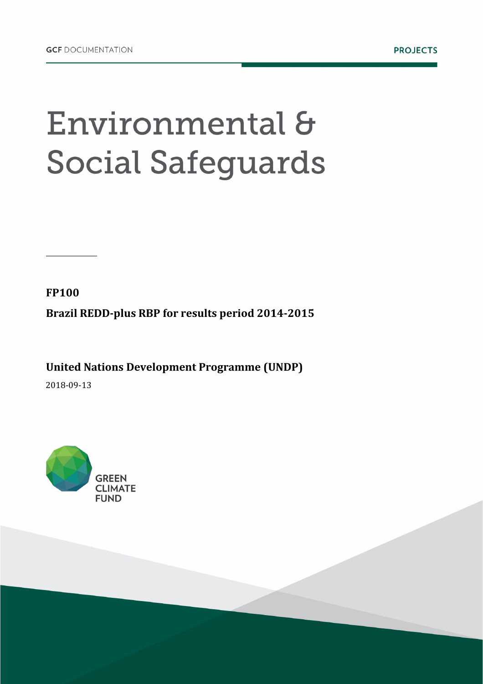## Environmental & **Social Safeguards**

**FP100**

**Brazil REDD-plus RBP for results period 2014-2015**

**United Nations Development Programme (UNDP)** 

2018-09-13

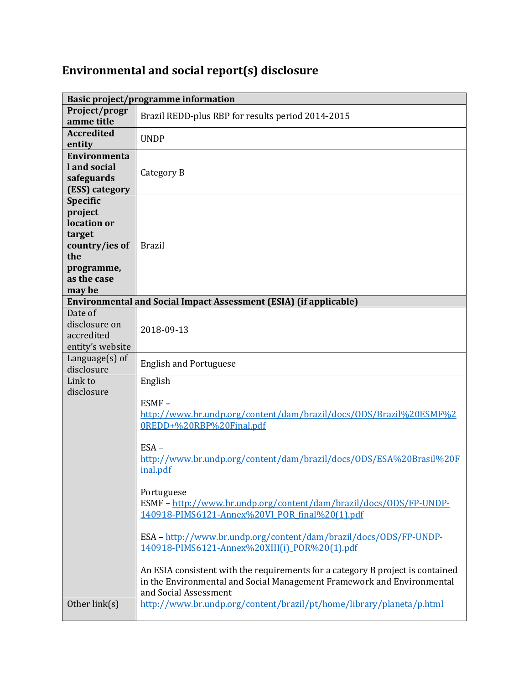## **Environmental and social report(s) disclosure**

|                                                                                                                     | <b>Basic project/programme information</b>                                                                                                                                                                                                                                                                                                                                                                                                                                                                                                                                                                                                                        |  |
|---------------------------------------------------------------------------------------------------------------------|-------------------------------------------------------------------------------------------------------------------------------------------------------------------------------------------------------------------------------------------------------------------------------------------------------------------------------------------------------------------------------------------------------------------------------------------------------------------------------------------------------------------------------------------------------------------------------------------------------------------------------------------------------------------|--|
| Project/progr<br>amme title                                                                                         | Brazil REDD-plus RBP for results period 2014-2015                                                                                                                                                                                                                                                                                                                                                                                                                                                                                                                                                                                                                 |  |
| <b>Accredited</b><br>entity                                                                                         | <b>UNDP</b>                                                                                                                                                                                                                                                                                                                                                                                                                                                                                                                                                                                                                                                       |  |
| <b>Environmenta</b><br>l and social<br>safeguards<br>(ESS) category                                                 | Category B                                                                                                                                                                                                                                                                                                                                                                                                                                                                                                                                                                                                                                                        |  |
| <b>Specific</b><br>project<br>location or<br>target<br>country/ies of<br>the<br>programme,<br>as the case<br>may be | <b>Brazil</b>                                                                                                                                                                                                                                                                                                                                                                                                                                                                                                                                                                                                                                                     |  |
| <b>Environmental and Social Impact Assessment (ESIA) (if applicable)</b>                                            |                                                                                                                                                                                                                                                                                                                                                                                                                                                                                                                                                                                                                                                                   |  |
| Date of<br>disclosure on<br>accredited<br>entity's website                                                          | 2018-09-13                                                                                                                                                                                                                                                                                                                                                                                                                                                                                                                                                                                                                                                        |  |
| Language $(s)$ of<br>disclosure                                                                                     | <b>English and Portuguese</b>                                                                                                                                                                                                                                                                                                                                                                                                                                                                                                                                                                                                                                     |  |
| Link to<br>disclosure                                                                                               | English<br>ESMF-<br>http://www.br.undp.org/content/dam/brazil/docs/0DS/Brazil%20ESMF%2<br>0REDD+%20RBP%20Final.pdf<br>$ESA -$<br>http://www.br.undp.org/content/dam/brazil/docs/ODS/ESA%20Brasil%20F<br>inal.pdf<br>Portuguese<br>ESMF - http://www.br.undp.org/content/dam/brazil/docs/ODS/FP-UNDP-<br>140918-PIMS6121-Annex%20VI_POR_final%20(1).pdf<br>ESA - http://www.br.undp.org/content/dam/brazil/docs/0DS/FP-UNDP-<br>140918-PIMS6121-Annex%20XIII(i) POR%20(1).pdf<br>An ESIA consistent with the requirements for a category B project is contained<br>in the Environmental and Social Management Framework and Environmental<br>and Social Assessment |  |
| Other link(s)                                                                                                       | http://www.br.undp.org/content/brazil/pt/home/library/planeta/p.html                                                                                                                                                                                                                                                                                                                                                                                                                                                                                                                                                                                              |  |